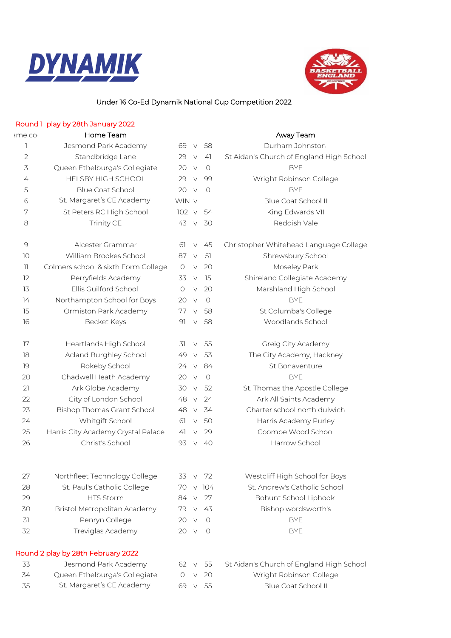



## Under 16 Co-Ed Dynamik National Cup Competition 2022

## Round 1 play by 28th January 2022

## ame come and Home Team and the Home Team and the Manuscript of Away Team

| 1                                                         | Jesmond Park Academy                | 69           | $\vee$ | 58      | Durham Johnston                          |  |  |  |
|-----------------------------------------------------------|-------------------------------------|--------------|--------|---------|------------------------------------------|--|--|--|
| $\overline{2}$                                            | Standbridge Lane                    | 29           | $\vee$ | 41      | St Aidan's Church of England High School |  |  |  |
| 3                                                         | Queen Ethelburga's Collegiate       | 20           | $\vee$ | $\circ$ | <b>BYE</b>                               |  |  |  |
| 4                                                         | <b>HELSBY HIGH SCHOOL</b>           | 29           | $\vee$ | 99      | Wright Robinson College                  |  |  |  |
| 5                                                         | <b>Blue Coat School</b>             | 20           | $\vee$ | $\circ$ | <b>BYE</b>                               |  |  |  |
| 6                                                         | St. Margaret's CE Academy           | WIN v        |        |         | Blue Coat School II                      |  |  |  |
| 7                                                         | St Peters RC High School            | 102 v        |        | 54      | King Edwards VII                         |  |  |  |
| 8                                                         | Trinity CE                          | 43           | $\vee$ | 30      | Reddish Vale                             |  |  |  |
| 9                                                         | Alcester Grammar                    | 61           | $\vee$ | 45      | Christopher Whitehead Language College   |  |  |  |
| 10                                                        | William Brookes School              | 87           | $\vee$ | 51      | Shrewsbury School                        |  |  |  |
| $\left\lceil \left\lceil \cdot \right\rceil \right\rceil$ | Colmers school & sixth Form College | $\circ$      | $\vee$ | 20      | Moseley Park                             |  |  |  |
| 12                                                        | Perryfields Academy                 | 33           | $\vee$ | 15      | Shireland Collegiate Academy             |  |  |  |
| 13                                                        | Ellis Guilford School               | $\circ$      | $\vee$ | 20      | Marshland High School                    |  |  |  |
| 14                                                        | Northampton School for Boys         | 20           | $\vee$ | $\circ$ | <b>BYE</b>                               |  |  |  |
| 15                                                        | Ormiston Park Academy               | 77           | $\vee$ | 58      | St Columba's College                     |  |  |  |
| 16                                                        | Becket Keys                         | 91           | $\vee$ | 58      | Woodlands School                         |  |  |  |
| 17                                                        | Heartlands High School              | 31           | $\vee$ | 55      | Greig City Academy                       |  |  |  |
| 18                                                        | Acland Burghley School              | 49           | $\vee$ | 53      | The City Academy, Hackney                |  |  |  |
| 19                                                        | Rokeby School                       | 24           | $\vee$ | 84      | St Bonaventure                           |  |  |  |
| 20                                                        | Chadwell Heath Academy              | 20           | $\vee$ | $\circ$ | <b>BYE</b>                               |  |  |  |
| 21                                                        | Ark Globe Academy                   | 30           | $\vee$ | 52      | St. Thomas the Apostle College           |  |  |  |
| 22                                                        | City of London School               | 48           | $\vee$ | 24      | Ark All Saints Academy                   |  |  |  |
| 23                                                        | <b>Bishop Thomas Grant School</b>   | 48           | $\vee$ | 34      | Charter school north dulwich             |  |  |  |
| 24                                                        | Whitgift School                     | 61           | $\vee$ | 50      | Harris Academy Purley                    |  |  |  |
| 25                                                        | Harris City Academy Crystal Palace  | 41           | $\vee$ | 29      | Coombe Wood School                       |  |  |  |
| 26                                                        | Christ's School                     | 93           | $\vee$ | 40      | Harrow School                            |  |  |  |
| 27                                                        | Northfleet Technology College       | 33           | $\vee$ | 72      | Westcliff High School for Boys           |  |  |  |
| 28                                                        | St. Paul's Catholic College         | 70           |        | $V$ 104 | St. Andrew's Catholic School             |  |  |  |
| 29                                                        | HTS Storm                           | 84           | $\vee$ | 27      | Bohunt School Liphook                    |  |  |  |
| 30                                                        | Bristol Metropolitan Academy        | 79           | $\vee$ | 43      | Bishop wordsworth's                      |  |  |  |
| 31                                                        | Penryn College                      | 20           | $\vee$ | $\circ$ | <b>BYE</b>                               |  |  |  |
| 32                                                        | Treviglas Academy                   | $20 \quad V$ |        | 0       | <b>BYE</b>                               |  |  |  |
| Round 2 play by 28th February 2022                        |                                     |              |        |         |                                          |  |  |  |
| 33                                                        | Jesmond Park Academy                | 62           | $\vee$ | 55      | St Aidan's Church of England High School |  |  |  |
| 34                                                        | Queen Ethelburga's Collegiate       | O            | $\vee$ | 20      | Wright Robinson College                  |  |  |  |
| 35                                                        | St. Margaret's CE Academy           | 69           | $\vee$ | 55      | Blue Coat School II                      |  |  |  |